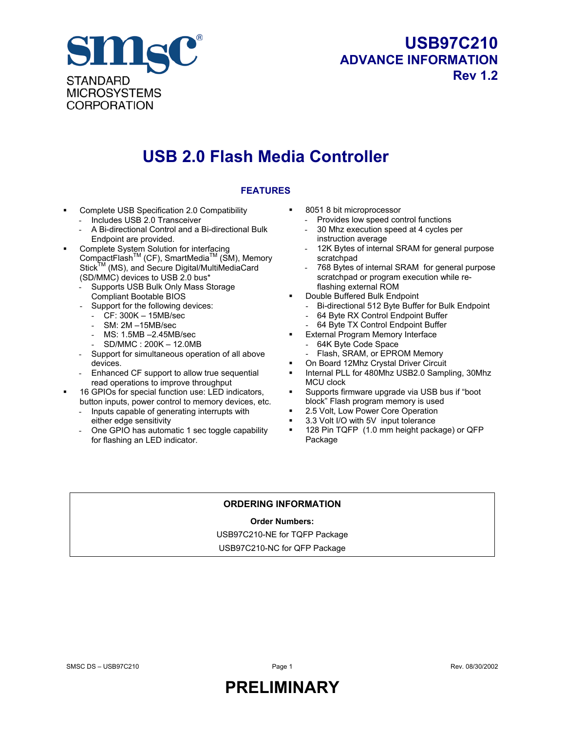

### **USB97C210 ADVANCE INFORMATION Rev 1.2**

# **USB 2.0 Flash Media Controller**

#### **FEATURES**

- Complete USB Specification 2.0 Compatibility
	- Includes USB 2.0 Transceiver - A Bi-directional Control and a Bi-directional Bulk Endpoint are provided.
- **Complete System Solution for interfacing** CompactFlash<sup>™</sup> (CF), SmartMedia<sup>™</sup> (SM), Memory Stick<sup>TM</sup> (MS), and Secure Digital/MultiMediaCard (SD/MMC) devices to USB 2.0 bus\*
	- Supports USB Bulk Only Mass Storage Compliant Bootable BIOS
	- Support for the following devices:
		- CF: 300K 15MB/sec
		- SM: 2M –15MB/sec
		- MS: 1.5MB 2.45MB/sec
		- SD/MMC : 200K 12.0MB
	- Support for simultaneous operation of all above devices.
	- Enhanced CF support to allow true sequential read operations to improve throughput
- 16 GPIOs for special function use: LED indicators, button inputs, power control to memory devices, etc.
	- Inputs capable of generating interrupts with either edge sensitivity
	- One GPIO has automatic 1 sec toggle capability for flashing an LED indicator.
- 8051 8 bit microprocessor
	- Provides low speed control functions
	- 30 Mhz execution speed at 4 cycles per instruction average
	- 12K Bytes of internal SRAM for general purpose scratchpad
	- 768 Bytes of internal SRAM for general purpose scratchpad or program execution while reflashing external ROM
- Double Buffered Bulk Endpoint
	- Bi-directional 512 Byte Buffer for Bulk Endpoint
	- 64 Byte RX Control Endpoint Buffer
	- 64 Byte TX Control Endpoint Buffer
	- External Program Memory Interface
	- 64K Byte Code Space
	- Flash, SRAM, or EPROM Memory
- On Board 12Mhz Crystal Driver Circuit
- Internal PLL for 480Mhz USB2.0 Sampling, 30Mhz MCU clock
- Supports firmware upgrade via USB bus if "boot block" Flash program memory is used
- 2.5 Volt, Low Power Core Operation
- 3.3 Volt I/O with 5V input tolerance
- 128 Pin TQFP (1.0 mm height package) or QFP Package

#### **ORDERING INFORMATION**

#### **Order Numbers:**

USB97C210-NE for TQFP Package

USB97C210-NC for QFP Package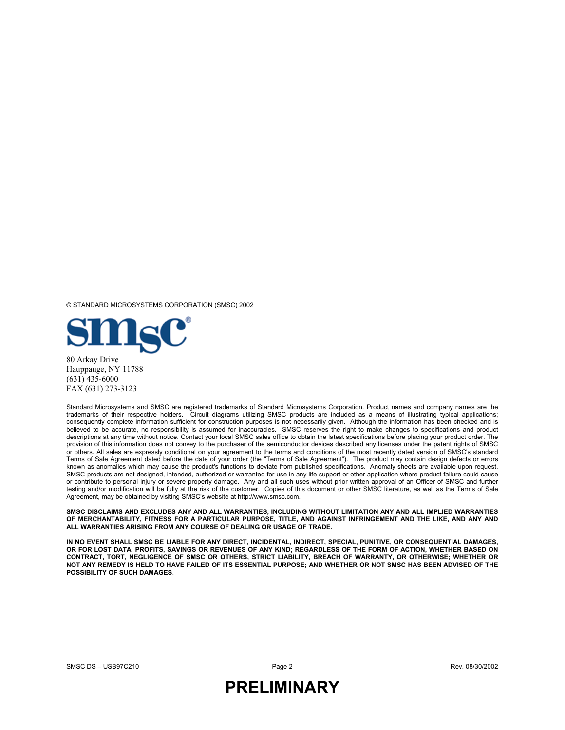© STANDARD MICROSYSTEMS CORPORATION (SMSC) 2002



80 Arkay Drive Hauppauge, NY 11788 (631) 435-6000 FAX (631) 273-3123

Standard Microsystems and SMSC are registered trademarks of Standard Microsystems Corporation. Product names and company names are the trademarks of their respective holders. Circuit diagrams utilizing SMSC products are included as a means of illustrating typical applications; consequently complete information sufficient for construction purposes is not necessarily given. Although the information has been checked and is believed to be accurate, no responsibility is assumed for inaccuracies. SMSC reserves the right to make changes to specifications and product descriptions at any time without notice. Contact your local SMSC sales office to obtain the latest specifications before placing your product order. The provision of this information does not convey to the purchaser of the semiconductor devices described any licenses under the patent rights of SMSC or others. All sales are expressly conditional on your agreement to the terms and conditions of the most recently dated version of SMSC's standard Terms of Sale Agreement dated before the date of your order (the "Terms of Sale Agreement"). The product may contain design defects or errors known as anomalies which may cause the product's functions to deviate from published specifications. Anomaly sheets are available upon request. SMSC products are not designed, intended, authorized or warranted for use in any life support or other application where product failure could cause or contribute to personal injury or severe property damage. Any and all such uses without prior written approval of an Officer of SMSC and further testing and/or modification will be fully at the risk of the customer. Copies of this document or other SMSC literature, as well as the Terms of Sale Agreement, may be obtained by visiting SMSC's website at http://www.smsc.com.

**SMSC DISCLAIMS AND EXCLUDES ANY AND ALL WARRANTIES, INCLUDING WITHOUT LIMITATION ANY AND ALL IMPLIED WARRANTIES OF MERCHANTABILITY, FITNESS FOR A PARTICULAR PURPOSE, TITLE, AND AGAINST INFRINGEMENT AND THE LIKE, AND ANY AND ALL WARRANTIES ARISING FROM ANY COURSE OF DEALING OR USAGE OF TRADE.**

**IN NO EVENT SHALL SMSC BE LIABLE FOR ANY DIRECT, INCIDENTAL, INDIRECT, SPECIAL, PUNITIVE, OR CONSEQUENTIAL DAMAGES, OR FOR LOST DATA, PROFITS, SAVINGS OR REVENUES OF ANY KIND; REGARDLESS OF THE FORM OF ACTION, WHETHER BASED ON CONTRACT, TORT, NEGLIGENCE OF SMSC OR OTHERS, STRICT LIABILITY, BREACH OF WARRANTY, OR OTHERWISE; WHETHER OR NOT ANY REMEDY IS HELD TO HAVE FAILED OF ITS ESSENTIAL PURPOSE; AND WHETHER OR NOT SMSC HAS BEEN ADVISED OF THE POSSIBILITY OF SUCH DAMAGES**.

SMSC DS – USB97C210 Page 2 Rev. 08/30/2002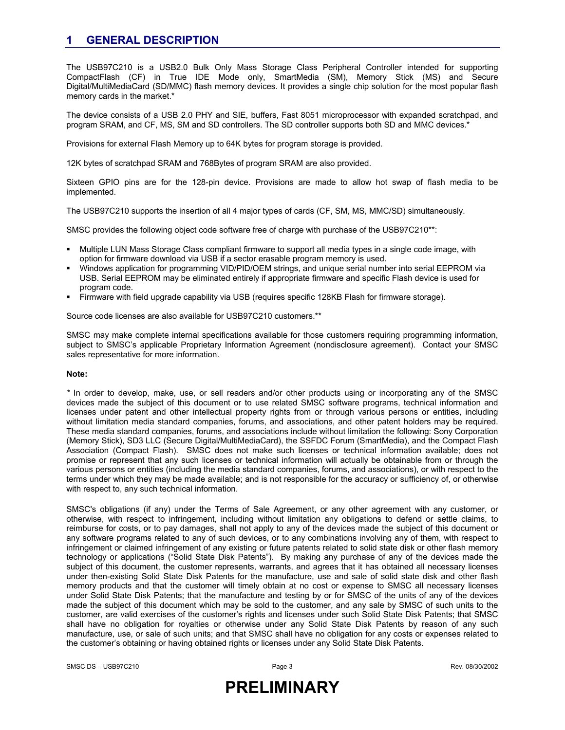### **1 GENERAL DESCRIPTION**

The USB97C210 is a USB2.0 Bulk Only Mass Storage Class Peripheral Controller intended for supporting CompactFlash (CF) in True IDE Mode only, SmartMedia (SM), Memory Stick (MS) and Secure Digital/MultiMediaCard (SD/MMC) flash memory devices. It provides a single chip solution for the most popular flash memory cards in the market.\*

The device consists of a USB 2.0 PHY and SIE, buffers, Fast 8051 microprocessor with expanded scratchpad, and program SRAM, and CF, MS, SM and SD controllers. The SD controller supports both SD and MMC devices.\*

Provisions for external Flash Memory up to 64K bytes for program storage is provided.

12K bytes of scratchpad SRAM and 768Bytes of program SRAM are also provided.

Sixteen GPIO pins are for the 128-pin device. Provisions are made to allow hot swap of flash media to be implemented.

The USB97C210 supports the insertion of all 4 major types of cards (CF, SM, MS, MMC/SD) simultaneously.

SMSC provides the following object code software free of charge with purchase of the USB97C210\*\*:

- Multiple LUN Mass Storage Class compliant firmware to support all media types in a single code image, with option for firmware download via USB if a sector erasable program memory is used.
- Windows application for programming VID/PID/OEM strings, and unique serial number into serial EEPROM via USB. Serial EEPROM may be eliminated entirely if appropriate firmware and specific Flash device is used for program code.
- Firmware with field upgrade capability via USB (requires specific 128KB Flash for firmware storage).

Source code licenses are also available for USB97C210 customers.\*\*

SMSC may make complete internal specifications available for those customers requiring programming information, subject to SMSC's applicable Proprietary Information Agreement (nondisclosure agreement). Contact your SMSC sales representative for more information.

#### **Note:**

*\** In order to develop, make, use, or sell readers and/or other products using or incorporating any of the SMSC devices made the subject of this document or to use related SMSC software programs, technical information and licenses under patent and other intellectual property rights from or through various persons or entities, including without limitation media standard companies, forums, and associations, and other patent holders may be required. These media standard companies, forums, and associations include without limitation the following: Sony Corporation (Memory Stick), SD3 LLC (Secure Digital/MultiMediaCard), the SSFDC Forum (SmartMedia), and the Compact Flash Association (Compact Flash). SMSC does not make such licenses or technical information available; does not promise or represent that any such licenses or technical information will actually be obtainable from or through the various persons or entities (including the media standard companies, forums, and associations), or with respect to the terms under which they may be made available; and is not responsible for the accuracy or sufficiency of, or otherwise with respect to, any such technical information.

SMSC's obligations (if any) under the Terms of Sale Agreement, or any other agreement with any customer, or otherwise, with respect to infringement, including without limitation any obligations to defend or settle claims, to reimburse for costs, or to pay damages, shall not apply to any of the devices made the subject of this document or any software programs related to any of such devices, or to any combinations involving any of them, with respect to infringement or claimed infringement of any existing or future patents related to solid state disk or other flash memory technology or applications ("Solid State Disk Patents"). By making any purchase of any of the devices made the subject of this document, the customer represents, warrants, and agrees that it has obtained all necessary licenses under then-existing Solid State Disk Patents for the manufacture, use and sale of solid state disk and other flash memory products and that the customer will timely obtain at no cost or expense to SMSC all necessary licenses under Solid State Disk Patents; that the manufacture and testing by or for SMSC of the units of any of the devices made the subject of this document which may be sold to the customer, and any sale by SMSC of such units to the customer, are valid exercises of the customer's rights and licenses under such Solid State Disk Patents; that SMSC shall have no obligation for royalties or otherwise under any Solid State Disk Patents by reason of any such manufacture, use, or sale of such units; and that SMSC shall have no obligation for any costs or expenses related to the customer's obtaining or having obtained rights or licenses under any Solid State Disk Patents.

SMSC DS – USB97C210 Page 3 Rev. 08/30/2002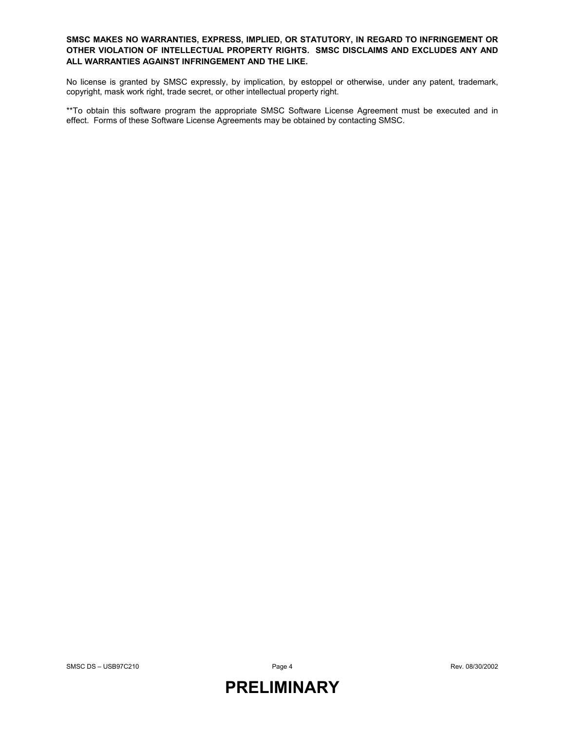#### **SMSC MAKES NO WARRANTIES, EXPRESS, IMPLIED, OR STATUTORY, IN REGARD TO INFRINGEMENT OR OTHER VIOLATION OF INTELLECTUAL PROPERTY RIGHTS. SMSC DISCLAIMS AND EXCLUDES ANY AND ALL WARRANTIES AGAINST INFRINGEMENT AND THE LIKE.**

No license is granted by SMSC expressly, by implication, by estoppel or otherwise, under any patent, trademark, copyright, mask work right, trade secret, or other intellectual property right.

\*\*To obtain this software program the appropriate SMSC Software License Agreement must be executed and in effect. Forms of these Software License Agreements may be obtained by contacting SMSC.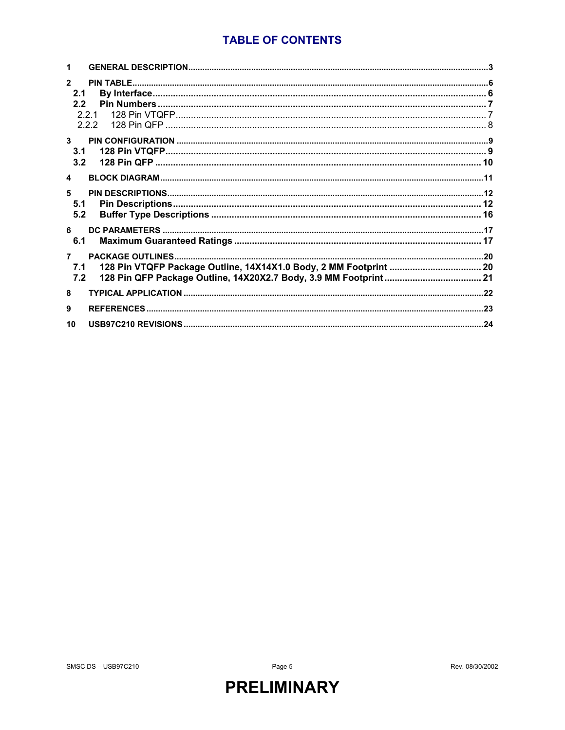### **TABLE OF CONTENTS**

| $\mathfrak{p}$<br>2.1<br>2.2<br>221<br>2.2.2 |  |
|----------------------------------------------|--|
| $\mathbf{3}$<br>3.1<br>3.2                   |  |
| $\blacktriangle$                             |  |
| 5<br>5.1<br>5.2                              |  |
| 6<br>6.1                                     |  |
| 7.1<br>7.2                                   |  |
| 8                                            |  |
| 9                                            |  |
| 10                                           |  |

Page 5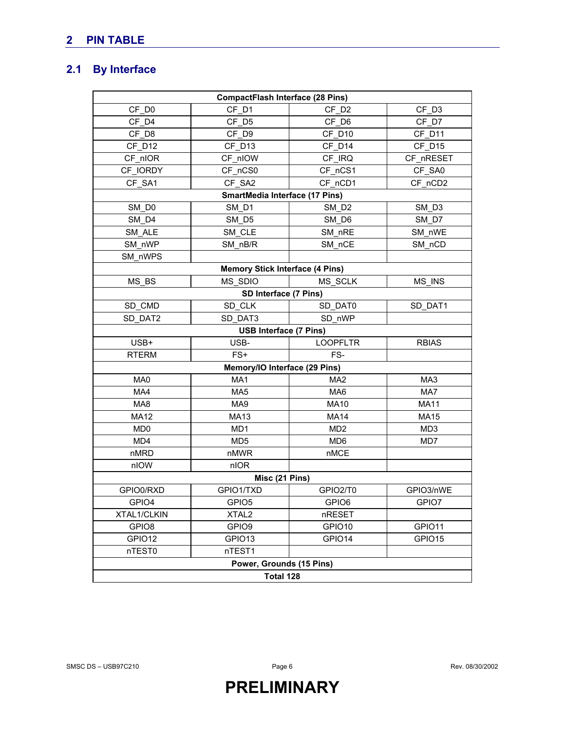### **2 PIN TABLE**

### **2.1 By Interface**

| <b>CompactFlash Interface (28 Pins)</b> |                                        |                   |                 |  |  |  |  |  |
|-----------------------------------------|----------------------------------------|-------------------|-----------------|--|--|--|--|--|
| CF D <sub>0</sub>                       | CF D1                                  | CF D <sub>2</sub> | CF_D3           |  |  |  |  |  |
| CF D4                                   | CF D5                                  | CF D6             | CF D7           |  |  |  |  |  |
| $CF_D8$                                 | CF D9                                  | CF_D10            | CF_D11          |  |  |  |  |  |
| CF D12                                  | CF D13                                 | CF D14            | CF_D15          |  |  |  |  |  |
| CF nIOR                                 | CF nIOW                                | CF IRQ            | CF nRESET       |  |  |  |  |  |
| CF IORDY                                | CF nCS0                                | CF nCS1           | CF SA0          |  |  |  |  |  |
| CF SA1                                  | CF SA2                                 | CF nCD1           | CF nCD2         |  |  |  |  |  |
|                                         | SmartMedia Interface (17 Pins)         |                   |                 |  |  |  |  |  |
| SM DO                                   | SM D1<br>SM D <sub>2</sub>             |                   |                 |  |  |  |  |  |
| SM D4                                   | SM D5                                  | SM D6             | SM D7           |  |  |  |  |  |
| SM ALE                                  | SM CLE                                 | SM_nRE            | SM nWE          |  |  |  |  |  |
| SM nWP                                  | SM nB/R                                | SM nCE            | SM nCD          |  |  |  |  |  |
| SM nWPS                                 |                                        |                   |                 |  |  |  |  |  |
|                                         | <b>Memory Stick Interface (4 Pins)</b> |                   |                 |  |  |  |  |  |
| MS BS                                   | MS SDIO                                | MS SCLK           | MS INS          |  |  |  |  |  |
|                                         | SD Interface (7 Pins)                  |                   |                 |  |  |  |  |  |
| SD CMD                                  | SD CLK                                 | SD DAT0           | SD DAT1         |  |  |  |  |  |
| SD DAT2                                 | SD DAT3                                | SD nWP            |                 |  |  |  |  |  |
|                                         | <b>USB Interface (7 Pins)</b>          |                   |                 |  |  |  |  |  |
| USB+                                    | USB-                                   | <b>LOOPFLTR</b>   | <b>RBIAS</b>    |  |  |  |  |  |
| <b>RTERM</b>                            | $FS+$                                  | FS-               |                 |  |  |  |  |  |
|                                         | Memory/IO Interface (29 Pins)          |                   |                 |  |  |  |  |  |
| MA0                                     | MA1                                    | MA <sub>2</sub>   | MA3             |  |  |  |  |  |
| MA4                                     | MA <sub>5</sub>                        | MA <sub>6</sub>   | MA7             |  |  |  |  |  |
| MA8                                     | MA9                                    | <b>MA10</b>       | <b>MA11</b>     |  |  |  |  |  |
| <b>MA12</b>                             | <b>MA13</b>                            | <b>MA14</b>       | <b>MA15</b>     |  |  |  |  |  |
| MD <sub>0</sub>                         | MD1                                    | MD <sub>2</sub>   | MD <sub>3</sub> |  |  |  |  |  |
| MD4                                     | MD <sub>5</sub>                        | MD <sub>6</sub>   | MD7             |  |  |  |  |  |
| nMRD                                    | nMWR                                   | nMCE              |                 |  |  |  |  |  |
| nIOW                                    | nIOR                                   |                   |                 |  |  |  |  |  |
|                                         | Misc (21 Pins)                         |                   |                 |  |  |  |  |  |
| GPIO0/RXD                               | GPIO1/TXD                              | GPIO2/T0          | GPIO3/nWE       |  |  |  |  |  |
| GPIO4                                   | GPIO5                                  | GPIO6             | GPIO7           |  |  |  |  |  |
| XTAL1/CLKIN                             | XTAL <sub>2</sub>                      | nRESET            |                 |  |  |  |  |  |
| GPIO8                                   | GPIO9                                  | GPIO10            | GPIO11          |  |  |  |  |  |
| GPIO12                                  | GPIO13                                 | GPIO14            | GPIO15          |  |  |  |  |  |
| nTEST0                                  | nTEST1                                 |                   |                 |  |  |  |  |  |
|                                         | Power, Grounds (15 Pins)               |                   |                 |  |  |  |  |  |
| Total 128                               |                                        |                   |                 |  |  |  |  |  |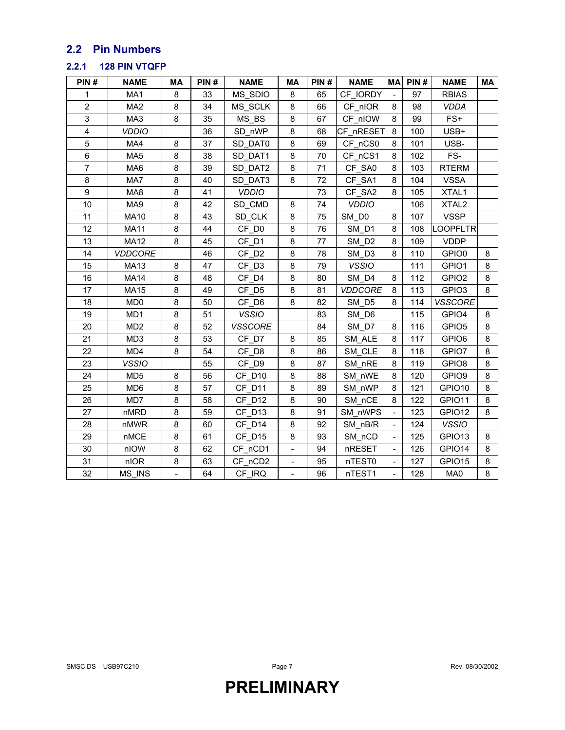### **2.2 Pin Numbers**

#### **2.2.1 128 PIN VTQFP**

| PIN#           | <b>NAME</b>     | MA | PIN# | <b>NAME</b>       | <b>MA</b>                | PIN# | <b>NAME</b>       | <b>MA</b>                | PIN# | <b>NAME</b>       | MA |
|----------------|-----------------|----|------|-------------------|--------------------------|------|-------------------|--------------------------|------|-------------------|----|
| 1              | MA1             | 8  | 33   | MS SDIO           | 8                        | 65   | CF IORDY          |                          | 97   | <b>RBIAS</b>      |    |
| $\overline{2}$ | MA <sub>2</sub> | 8  | 34   | MS SCLK           | 8                        | 66   | CF nIOR           | 8                        | 98   | <b>VDDA</b>       |    |
| 3              | MA3             | 8  | 35   | MS BS             | 8                        | 67   | CF nIOW           | 8                        | 99   | $FS+$             |    |
| 4              | <b>VDDIO</b>    |    | 36   | SD_nWP            | 8                        | 68   | CF nRESET         | 8                        | 100  | USB+              |    |
| 5              | MA4             | 8  | 37   | SD DAT0           | 8                        | 69   | CF nCS0           | 8                        | 101  | USB-              |    |
| 6              | MA <sub>5</sub> | 8  | 38   | SD DAT1           | 8                        | 70   | CF_nCS1           | 8                        | 102  | FS-               |    |
| $\overline{7}$ | MA <sub>6</sub> | 8  | 39   | SD DAT2           | 8                        | 71   | CF SA0            | 8                        | 103  | <b>RTERM</b>      |    |
| 8              | MA7             | 8  | 40   | SD DAT3           | 8                        | 72   | CF_SA1            | 8                        | 104  | <b>VSSA</b>       |    |
| 9              | MA8             | 8  | 41   | <b>VDDIO</b>      |                          | 73   | CF SA2            | 8                        | 105  | XTAL1             |    |
| 10             | MA9             | 8  | 42   | SD_CMD            | 8                        | 74   | <b>VDDIO</b>      |                          | 106  | XTAL <sub>2</sub> |    |
| 11             | <b>MA10</b>     | 8  | 43   | SD CLK            | 8                        | 75   | SM DO             | 8                        | 107  | <b>VSSP</b>       |    |
| 12             | <b>MA11</b>     | 8  | 44   | CF D <sub>0</sub> | 8                        | 76   | SM D1             | 8                        | 108  | <b>LOOPFLTR</b>   |    |
| 13             | <b>MA12</b>     | 8  | 45   | CF D1             | 8                        | 77   | SM D <sub>2</sub> | 8                        | 109  | <b>VDDP</b>       |    |
| 14             | <b>VDDCORE</b>  |    | 46   | CF D <sub>2</sub> | 8                        | 78   | SM_D3             | 8                        | 110  | GPIO0             | 8  |
| 15             | <b>MA13</b>     | 8  | 47   | CF D3             | 8                        | 79   | <b>VSSIO</b>      |                          | 111  | GPIO1             | 8  |
| 16             | <b>MA14</b>     | 8  | 48   | CF D4             | 8                        | 80   | SM D4             | 8                        | 112  | GPIO <sub>2</sub> | 8  |
| 17             | <b>MA15</b>     | 8  | 49   | CF D5             | 8                        | 81   | <b>VDDCORE</b>    | 8                        | 113  | GPIO <sub>3</sub> | 8  |
| 18             | MD <sub>0</sub> | 8  | 50   | CF D6             | 8                        | 82   | SM D5             | 8                        | 114  | VSSCORE           |    |
| 19             | MD1             | 8  | 51   | <b>VSSIO</b>      |                          | 83   | SM D6             |                          | 115  | GPIO4             | 8  |
| 20             | MD <sub>2</sub> | 8  | 52   | <b>VSSCORE</b>    |                          | 84   | SM D7             | 8                        | 116  | GPIO <sub>5</sub> | 8  |
| 21             | MD <sub>3</sub> | 8  | 53   | CF D7             | 8                        | 85   | SM ALE            | 8                        | 117  | GPIO6             | 8  |
| 22             | MD4             | 8  | 54   | CF D8             | 8                        | 86   | SM CLE            | 8                        | 118  | GPIO7             | 8  |
| 23             | <b>VSSIO</b>    |    | 55   | CF D9             | 8                        | 87   | SM_nRE            | 8                        | 119  | GPIO <sub>8</sub> | 8  |
| 24             | MD <sub>5</sub> | 8  | 56   | CF D10            | 8                        | 88   | SM nWE            | 8                        | 120  | GPIO9             | 8  |
| 25             | MD <sub>6</sub> | 8  | 57   | CF D11            | 8                        | 89   | SM nWP            | 8                        | 121  | GPIO10            | 8  |
| 26             | MD7             | 8  | 58   | CF D12            | 8                        | 90   | SM nCE            | 8                        | 122  | GPIO11            | 8  |
| 27             | nMRD            | 8  | 59   | CF D13            | 8                        | 91   | SM nWPS           |                          | 123  | GPIO12            | 8  |
| 28             | nMWR            | 8  | 60   | CF D14            | 8                        | 92   | SM nB/R           |                          | 124  | <b>VSSIO</b>      |    |
| 29             | nMCE            | 8  | 61   | CF_D15            | 8                        | 93   | SM nCD            | $\overline{\phantom{a}}$ | 125  | GPIO13            | 8  |
| 30             | nIOW            | 8  | 62   | CF_nCD1           | $\blacksquare$           | 94   | nRESET            | $\overline{\phantom{a}}$ | 126  | GPIO14            | 8  |
| 31             | nIOR            | 8  | 63   | CF nCD2           |                          | 95   | nTEST0            |                          | 127  | GPIO15            | 8  |
| 32             | MS INS          |    | 64   | CF IRQ            | $\overline{\phantom{0}}$ | 96   | nTEST1            |                          | 128  | MA0               | 8  |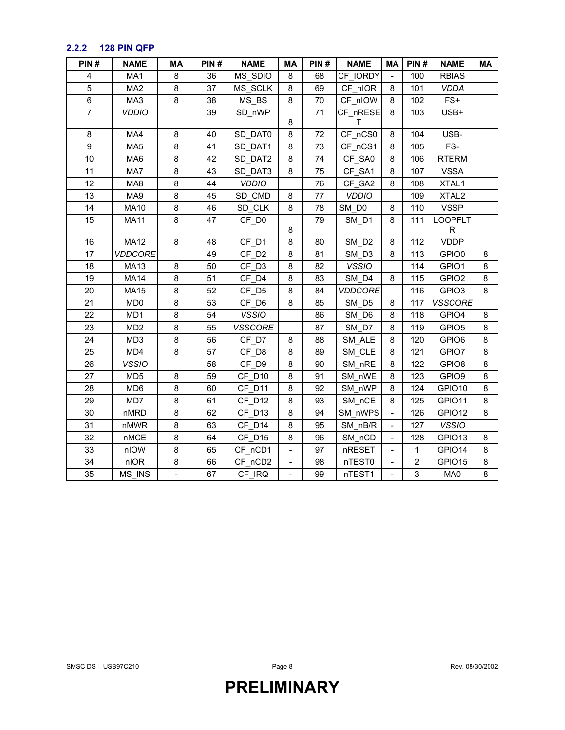### **2.2.2 128 PIN QFP**

| PIN#           | <b>NAME</b>     | MA | PIN# | <b>NAME</b>       | МA                       | PIN# | <b>NAME</b>       | МA                       | PIN#           | <b>NAME</b>       | МA |
|----------------|-----------------|----|------|-------------------|--------------------------|------|-------------------|--------------------------|----------------|-------------------|----|
| 4              | MA1             | 8  | 36   | MS_SDIO           | 8                        | 68   | CF IORDY          |                          | 100            | <b>RBIAS</b>      |    |
| 5              | MA <sub>2</sub> | 8  | 37   | MS SCLK           | 8                        | 69   | CF nIOR           | 8                        | 101            | <b>VDDA</b>       |    |
| 6              | MA3             | 8  | 38   | MS BS             | 8                        | 70   | CF nIOW           | 8                        | 102            | $FS+$             |    |
| $\overline{7}$ | <b>VDDIO</b>    |    | 39   | SD nWP            |                          | 71   | CF nRESE          | 8                        | 103            | USB+              |    |
|                |                 |    |      |                   | 8                        |      | т                 |                          |                |                   |    |
| 8              | MA4             | 8  | 40   | SD DAT0           | 8                        | 72   | CF nCS0           | 8                        | 104            | USB-              |    |
| 9              | MA <sub>5</sub> | 8  | 41   | SD DAT1           | 8                        | 73   | CF nCS1           | 8                        | 105            | FS-               |    |
| 10             | MA6             | 8  | 42   | SD DAT2           | 8                        | 74   | CF SA0            | 8                        | 106            | <b>RTERM</b>      |    |
| 11             | MA7             | 8  | 43   | SD DAT3           | 8                        | 75   | CF_SA1            | 8                        | 107            | VSSA              |    |
| 12             | MA8             | 8  | 44   | <b>VDDIO</b>      |                          | 76   | CF_SA2            | 8                        | 108            | XTAL1             |    |
| 13             | MA9             | 8  | 45   | SD CMD            | 8                        | 77   | <b>VDDIO</b>      |                          | 109            | XTAL <sub>2</sub> |    |
| 14             | <b>MA10</b>     | 8  | 46   | SD_CLK            | 8                        | 78   | SM_D0             | 8                        | 110            | <b>VSSP</b>       |    |
| 15             | <b>MA11</b>     | 8  | 47   | CF D0             |                          | 79   | SM D1             | 8                        | 111            | <b>LOOPFLT</b>    |    |
|                |                 |    |      |                   | 8                        |      |                   |                          |                | R                 |    |
| 16             | <b>MA12</b>     | 8  | 48   | CF D1             | 8                        | 80   | SM D <sub>2</sub> | 8                        | 112            | <b>VDDP</b>       |    |
| 17             | <b>VDDCORE</b>  |    | 49   | CF D <sub>2</sub> | 8                        | 81   | SM D3             | 8                        | 113            | GPIO0             | 8  |
| 18             | <b>MA13</b>     | 8  | 50   | CF D3             | 8                        | 82   | <b>VSSIO</b>      |                          | 114            | GPIO1             | 8  |
| 19             | <b>MA14</b>     | 8  | 51   | CF D4             | 8                        | 83   | SM_D4             | 8                        | 115            | GPIO <sub>2</sub> | 8  |
| 20             | <b>MA15</b>     | 8  | 52   | CF D5             | 8                        | 84   | <b>VDDCORE</b>    |                          | 116            | GPIO <sub>3</sub> | 8  |
| 21             | MD <sub>0</sub> | 8  | 53   | CF D6             | 8                        | 85   | SM D5             | 8                        | 117            | <b>VSSCORE</b>    |    |
| 22             | MD1             | 8  | 54   | <b>VSSIO</b>      |                          | 86   | SM D6             | 8                        | 118            | GPIO4             | 8  |
| 23             | MD <sub>2</sub> | 8  | 55   | <b>VSSCORE</b>    |                          | 87   | SM D7             | 8                        | 119            | GPIO <sub>5</sub> | 8  |
| 24             | MD <sub>3</sub> | 8  | 56   | CF D7             | 8                        | 88   | SM ALE            | 8                        | 120            | GPIO6             | 8  |
| 25             | MD4             | 8  | 57   | CF D8             | 8                        | 89   | SM CLE            | 8                        | 121            | GPIO7             | 8  |
| 26             | <b>VSSIO</b>    |    | 58   | CF_D9             | 8                        | 90   | SM nRE            | 8                        | 122            | GPIO <sub>8</sub> | 8  |
| 27             | MD <sub>5</sub> | 8  | 59   | CF D10            | 8                        | 91   | SM nWE            | 8                        | 123            | GPIO9             | 8  |
| 28             | MD <sub>6</sub> | 8  | 60   | CF D11            | 8                        | 92   | SM nWP            | 8                        | 124            | GPIO10            | 8  |
| 29             | MD7             | 8  | 61   | CF D12            | 8                        | 93   | SM nCE            | 8                        | 125            | GPIO11            | 8  |
| 30             | nMRD            | 8  | 62   | CF D13            | 8                        | 94   | SM nWPS           |                          | 126            | GPIO12            | 8  |
| 31             | nMWR            | 8  | 63   | CF D14            | 8                        | 95   | SM nB/R           | $\frac{1}{2}$            | 127            | <b>VSSIO</b>      |    |
| 32             | nMCE            | 8  | 64   | CF D15            | 8                        | 96   | SM_nCD            | $\overline{\phantom{0}}$ | 128            | GPIO13            | 8  |
| 33             | nIOW            | 8  | 65   | CF_nCD1           | $\overline{\phantom{a}}$ | 97   | nRESET            | $\overline{\phantom{a}}$ | $\mathbf{1}$   | GPIO14            | 8  |
| 34             | nIOR            | 8  | 66   | CF nCD2           | $\blacksquare$           | 98   | nTEST0            | $\overline{\phantom{a}}$ | $\overline{2}$ | GPIO15            | 8  |
| 35             | MS INS          |    | 67   | CF IRQ            |                          | 99   | nTEST1            |                          | 3              | MA0               | 8  |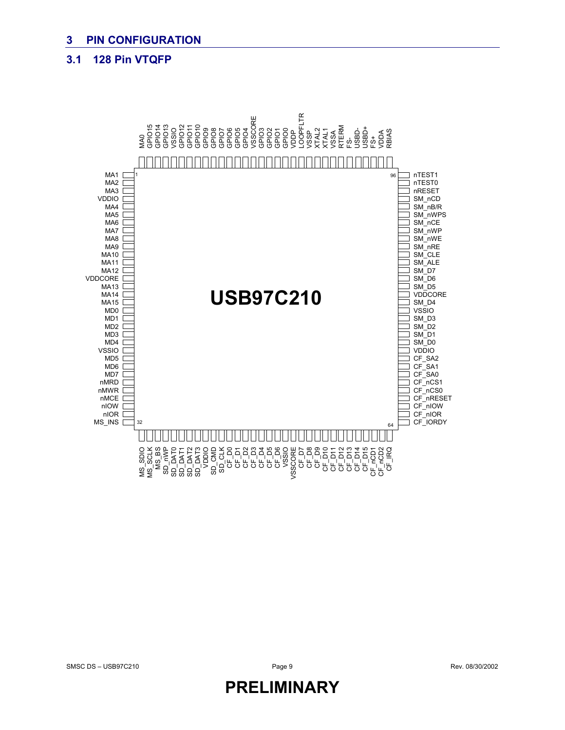#### **3.1 128 Pin VTQFP**

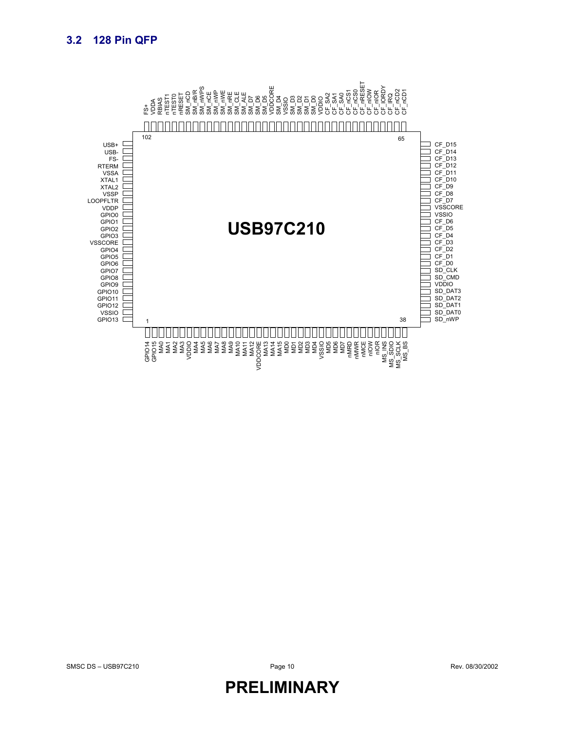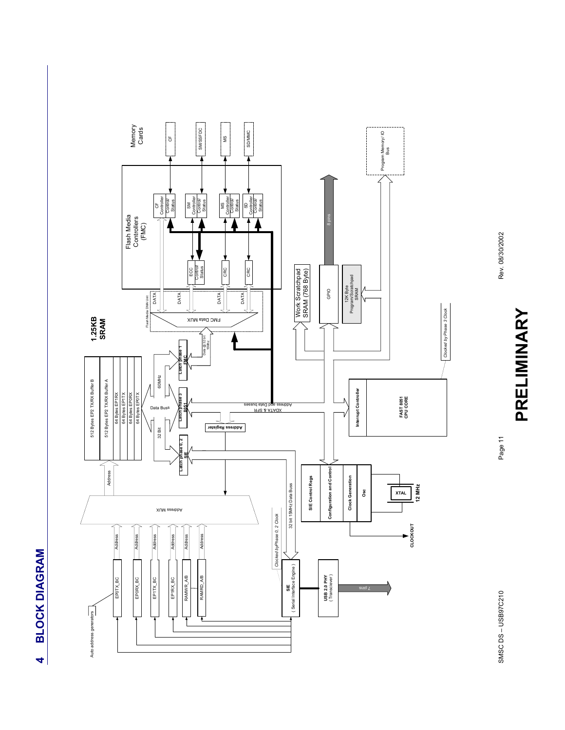



Rev. 08/30/2002

**PRELIMINARY**

PRELIMINARY

Page 11

SMSC DS – USB97C210 Page 11 Page 11 Page 11 Page 11 SMSC DS-USB97C210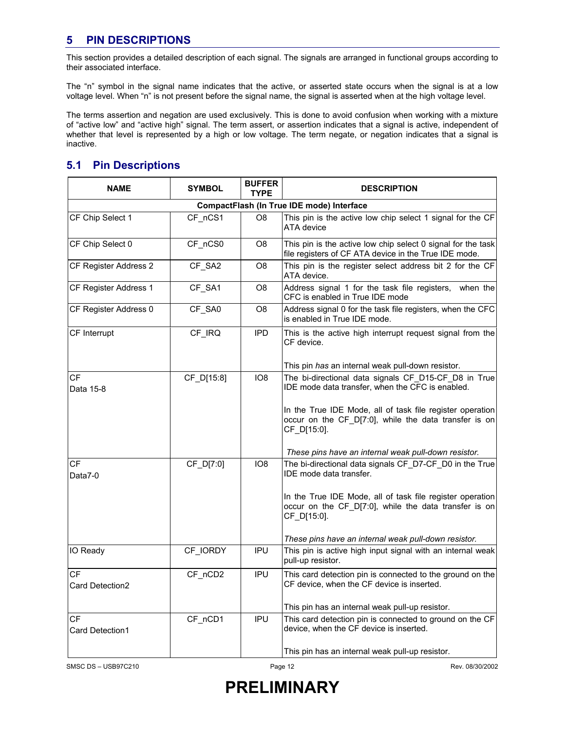### **5 PIN DESCRIPTIONS**

This section provides a detailed description of each signal. The signals are arranged in functional groups according to their associated interface.

The "n" symbol in the signal name indicates that the active, or asserted state occurs when the signal is at a low voltage level. When "n" is not present before the signal name, the signal is asserted when at the high voltage level.

The terms assertion and negation are used exclusively. This is done to avoid confusion when working with a mixture of "active low" and "active high" signal. The term assert, or assertion indicates that a signal is active, independent of whether that level is represented by a high or low voltage. The term negate, or negation indicates that a signal is inactive.

### **5.1 Pin Descriptions**

| <b>NAME</b>           | <b>SYMBOL</b>                             | <b>BUFFER</b><br><b>TYPE</b> | <b>DESCRIPTION</b>                                                                                                                |  |  |  |  |  |  |  |
|-----------------------|-------------------------------------------|------------------------------|-----------------------------------------------------------------------------------------------------------------------------------|--|--|--|--|--|--|--|
|                       | CompactFlash (In True IDE mode) Interface |                              |                                                                                                                                   |  |  |  |  |  |  |  |
| CF Chip Select 1      | CF nCS1                                   | O8                           | This pin is the active low chip select 1 signal for the CF<br>ATA device                                                          |  |  |  |  |  |  |  |
| CF Chip Select 0      | CF nCS0                                   | O8                           | This pin is the active low chip select 0 signal for the task<br>file registers of CF ATA device in the True IDE mode.             |  |  |  |  |  |  |  |
| CF Register Address 2 | CF SA2                                    | O8                           | This pin is the register select address bit 2 for the CF<br>ATA device.                                                           |  |  |  |  |  |  |  |
| CF Register Address 1 | CF_SA1                                    | O8                           | Address signal 1 for the task file registers, when the<br>CFC is enabled in True IDE mode                                         |  |  |  |  |  |  |  |
| CF Register Address 0 | CF_SA0                                    | O <sub>8</sub>               | Address signal 0 for the task file registers, when the CFC<br>is enabled in True IDE mode.                                        |  |  |  |  |  |  |  |
| CF Interrupt          | CF IRQ                                    | <b>IPD</b>                   | This is the active high interrupt request signal from the<br>CF device.                                                           |  |  |  |  |  |  |  |
|                       |                                           |                              | This pin has an internal weak pull-down resistor.                                                                                 |  |  |  |  |  |  |  |
| CF<br>Data 15-8       | CF_D[15:8]                                | IO8                          | The bi-directional data signals CF_D15-CF_D8 in True<br>IDE mode data transfer, when the CFC is enabled.                          |  |  |  |  |  |  |  |
|                       |                                           |                              | In the True IDE Mode, all of task file register operation<br>occur on the CF D[7:0], while the data transfer is on<br>CF_D[15:0]. |  |  |  |  |  |  |  |
|                       |                                           |                              | These pins have an internal weak pull-down resistor.                                                                              |  |  |  |  |  |  |  |
| СF<br>Data7-0         | CF_D[7:0]                                 | IO8                          | The bi-directional data signals CF D7-CF D0 in the True<br>IDE mode data transfer.                                                |  |  |  |  |  |  |  |
|                       |                                           |                              | In the True IDE Mode, all of task file register operation<br>occur on the CF_D[7:0], while the data transfer is on<br>CF_D[15:0]. |  |  |  |  |  |  |  |
|                       |                                           |                              | These pins have an internal weak pull-down resistor.                                                                              |  |  |  |  |  |  |  |
| IO Ready              | CF IORDY                                  | <b>IPU</b>                   | This pin is active high input signal with an internal weak<br>pull-up resistor.                                                   |  |  |  |  |  |  |  |
| СF                    | CF_nCD2                                   | IPU                          | This card detection pin is connected to the ground on the                                                                         |  |  |  |  |  |  |  |
| Card Detection2       |                                           |                              | CF device, when the CF device is inserted.                                                                                        |  |  |  |  |  |  |  |
|                       |                                           |                              | This pin has an internal weak pull-up resistor.                                                                                   |  |  |  |  |  |  |  |
| СF<br>Card Detection1 | CF nCD1                                   | IPU                          | This card detection pin is connected to ground on the CF<br>device, when the CF device is inserted.                               |  |  |  |  |  |  |  |
|                       |                                           |                              | This pin has an internal weak pull-up resistor.                                                                                   |  |  |  |  |  |  |  |

SMSC DS – USB97C210 **Page 12** Page 12 Rev. 08/30/2002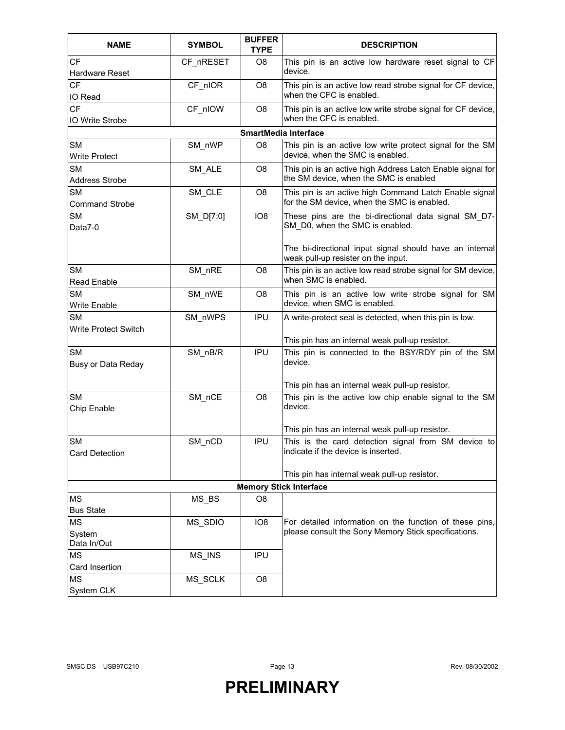| <b>NAME</b>                                            | <b>SYMBOL</b> | <b>BUFFER</b><br><b>TYPE</b> | <b>DESCRIPTION</b>                                                                                                                            |  |  |  |
|--------------------------------------------------------|---------------|------------------------------|-----------------------------------------------------------------------------------------------------------------------------------------------|--|--|--|
| <b>CF</b><br>Hardware Reset                            | CF nRESET     | O <sub>8</sub>               | This pin is an active low hardware reset signal to CF<br>device.                                                                              |  |  |  |
| <b>CF</b><br>IO Read                                   | CF nIOR       | O <sub>8</sub>               | This pin is an active low read strobe signal for CF device,<br>when the CFC is enabled.                                                       |  |  |  |
| CF<br><b>IO Write Strobe</b>                           | CF_nIOW       | O <sub>8</sub>               | This pin is an active low write strobe signal for CF device,<br>when the CFC is enabled.                                                      |  |  |  |
|                                                        |               |                              | <b>SmartMedia Interface</b>                                                                                                                   |  |  |  |
| <b>SM</b><br><b>Write Protect</b>                      | SM nWP        | O <sub>8</sub>               | This pin is an active low write protect signal for the SM<br>device, when the SMC is enabled.                                                 |  |  |  |
| <b>SM</b><br><b>Address Strobe</b>                     | SM ALE        | O8                           | This pin is an active high Address Latch Enable signal for<br>the SM device, when the SMC is enabled                                          |  |  |  |
| <b>SM</b><br><b>Command Strobe</b>                     | SM_CLE        | O8                           | This pin is an active high Command Latch Enable signal<br>for the SM device, when the SMC is enabled.                                         |  |  |  |
| <b>SM</b><br>Data7-0                                   | SM_D[7:0]     | IO8                          | These pins are the bi-directional data signal SM D7-<br>SM D0, when the SMC is enabled.                                                       |  |  |  |
|                                                        |               |                              | The bi-directional input signal should have an internal<br>weak pull-up resister on the input.                                                |  |  |  |
| <b>SM</b><br>Read Enable                               | SM nRE        | O8                           | This pin is an active low read strobe signal for SM device,<br>when SMC is enabled.                                                           |  |  |  |
| <b>SM</b><br>Write Enable                              | SM nWE        | O <sub>8</sub>               | This pin is an active low write strobe signal for SM<br>device, when SMC is enabled.                                                          |  |  |  |
| <b>SM</b><br>Write Protect Switch                      | SM nWPS       | <b>IPU</b>                   | A write-protect seal is detected, when this pin is low.<br>This pin has an internal weak pull-up resistor.                                    |  |  |  |
| <b>SM</b><br>Busy or Data Reday                        | $SM_nBB/R$    | <b>IPU</b>                   | This pin is connected to the BSY/RDY pin of the SM<br>device.                                                                                 |  |  |  |
| <b>SM</b><br>Chip Enable                               | SM_nCE        | O <sub>8</sub>               | This pin has an internal weak pull-up resistor.<br>This pin is the active low chip enable signal to the SM<br>device.                         |  |  |  |
| <b>SM</b><br>Card Detection                            | SM_nCD        | IPU                          | This pin has an internal weak pull-up resistor.<br>This is the card detection signal from SM device to<br>indicate if the device is inserted. |  |  |  |
|                                                        |               |                              | This pin has internal weak pull-up resistor.                                                                                                  |  |  |  |
|                                                        |               |                              | <b>Memory Stick Interface</b>                                                                                                                 |  |  |  |
| <b>MS</b>                                              | MS BS         | O <sub>8</sub>               |                                                                                                                                               |  |  |  |
| <b>Bus State</b><br><b>MS</b><br>System<br>Data In/Out | MS_SDIO       | IO <sub>8</sub>              | For detailed information on the function of these pins,<br>please consult the Sony Memory Stick specifications.                               |  |  |  |
| MS<br>Card Insertion                                   | MS_INS        | <b>IPU</b>                   |                                                                                                                                               |  |  |  |
| <b>MS</b><br>System CLK                                | MS_SCLK       | O <sub>8</sub>               |                                                                                                                                               |  |  |  |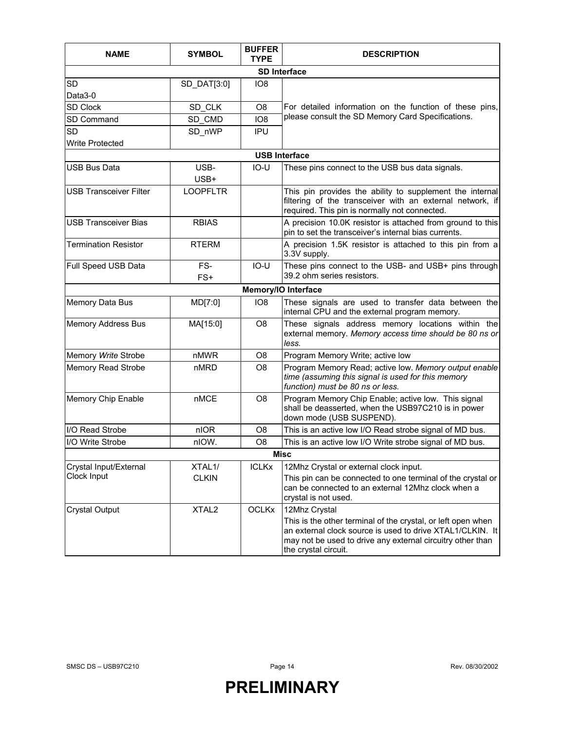| <b>NAME</b>                   | <b>SYMBOL</b>     | <b>BUFFER</b><br>TYPE | <b>DESCRIPTION</b>                                                                                                                                                                                              |  |  |  |  |  |
|-------------------------------|-------------------|-----------------------|-----------------------------------------------------------------------------------------------------------------------------------------------------------------------------------------------------------------|--|--|--|--|--|
| <b>SD Interface</b>           |                   |                       |                                                                                                                                                                                                                 |  |  |  |  |  |
| <b>SD</b>                     | SD_DAT[3:0]       | IO <sub>8</sub>       |                                                                                                                                                                                                                 |  |  |  |  |  |
| Data3-0                       |                   |                       |                                                                                                                                                                                                                 |  |  |  |  |  |
| <b>SD Clock</b>               | SD_CLK            | O8                    | For detailed information on the function of these pins,                                                                                                                                                         |  |  |  |  |  |
| SD Command                    | SD_CMD            | IO <sub>8</sub>       | please consult the SD Memory Card Specifications.                                                                                                                                                               |  |  |  |  |  |
| <b>SD</b>                     | SD_nWP            | IPU                   |                                                                                                                                                                                                                 |  |  |  |  |  |
| <b>Write Protected</b>        |                   |                       |                                                                                                                                                                                                                 |  |  |  |  |  |
|                               |                   |                       | <b>USB Interface</b>                                                                                                                                                                                            |  |  |  |  |  |
| <b>USB Bus Data</b>           | USB-<br>USB+      | $IO-U$                | These pins connect to the USB bus data signals.                                                                                                                                                                 |  |  |  |  |  |
| <b>USB Transceiver Filter</b> | <b>LOOPFLTR</b>   |                       | This pin provides the ability to supplement the internal<br>filtering of the transceiver with an external network, if<br>required. This pin is normally not connected.                                          |  |  |  |  |  |
| <b>USB Transceiver Bias</b>   | <b>RBIAS</b>      |                       | A precision 10.0K resistor is attached from ground to this<br>pin to set the transceiver's internal bias currents.                                                                                              |  |  |  |  |  |
| <b>Termination Resistor</b>   | <b>RTERM</b>      |                       | A precision 1.5K resistor is attached to this pin from a<br>3.3V supply.                                                                                                                                        |  |  |  |  |  |
| Full Speed USB Data           | FS-<br>FS+        | IO-U                  | These pins connect to the USB- and USB+ pins through<br>39.2 ohm series resistors.                                                                                                                              |  |  |  |  |  |
|                               |                   |                       | Memory/IO Interface                                                                                                                                                                                             |  |  |  |  |  |
| Memory Data Bus               | MD[7:0]           | IO <sub>8</sub>       | These signals are used to transfer data between the<br>internal CPU and the external program memory.                                                                                                            |  |  |  |  |  |
| <b>Memory Address Bus</b>     | MA[15:0]          | O <sub>8</sub>        | These signals address memory locations within the<br>external memory. Memory access time should be 80 ns or<br>less.                                                                                            |  |  |  |  |  |
| Memory Write Strobe           | nMWR              | O <sub>8</sub>        | Program Memory Write; active low                                                                                                                                                                                |  |  |  |  |  |
| <b>Memory Read Strobe</b>     | nMRD              | O <sub>8</sub>        | Program Memory Read; active low. Memory output enable<br>time (assuming this signal is used for this memory<br>function) must be 80 ns or less.                                                                 |  |  |  |  |  |
| Memory Chip Enable            | nMCE              | O <sub>8</sub>        | Program Memory Chip Enable; active low. This signal<br>shall be deasserted, when the USB97C210 is in power<br>down mode (USB SUSPEND).                                                                          |  |  |  |  |  |
| I/O Read Strobe               | nIOR              | O <sub>8</sub>        | This is an active low I/O Read strobe signal of MD bus.                                                                                                                                                         |  |  |  |  |  |
| I/O Write Strobe              | nIOW.             | O <sub>8</sub>        | This is an active low I/O Write strobe signal of MD bus.                                                                                                                                                        |  |  |  |  |  |
|                               |                   |                       | <b>Misc</b>                                                                                                                                                                                                     |  |  |  |  |  |
| Crystal Input/External        | XTAL1/            | <b>ICLKx</b>          | 12Mhz Crystal or external clock input.                                                                                                                                                                          |  |  |  |  |  |
| Clock Input                   | <b>CLKIN</b>      |                       | This pin can be connected to one terminal of the crystal or<br>can be connected to an external 12Mhz clock when a<br>crystal is not used.                                                                       |  |  |  |  |  |
| <b>Crystal Output</b>         | XTAL <sub>2</sub> | <b>OCLKx</b>          | 12Mhz Crystal                                                                                                                                                                                                   |  |  |  |  |  |
|                               |                   |                       | This is the other terminal of the crystal, or left open when<br>an external clock source is used to drive XTAL1/CLKIN. It<br>may not be used to drive any external circuitry other than<br>the crystal circuit. |  |  |  |  |  |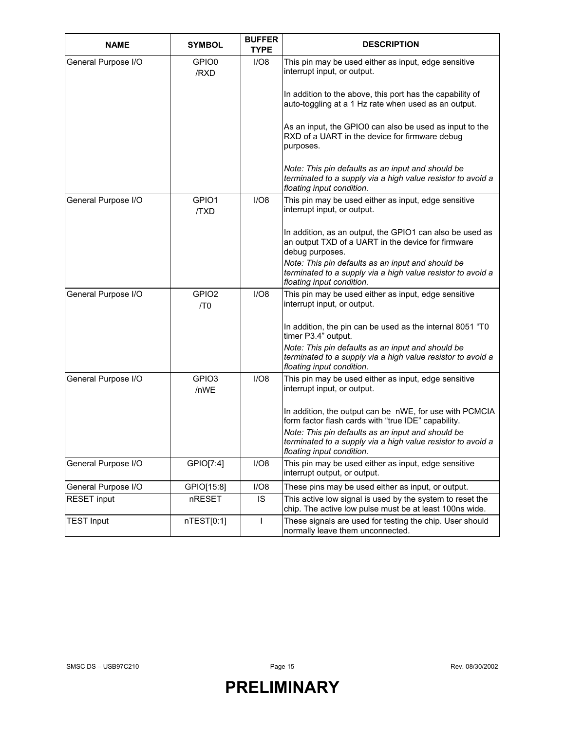| <b>NAME</b>         | <b>SYMBOL</b>             | <b>BUFFER</b><br><b>TYPE</b> | <b>DESCRIPTION</b>                                                                                                                            |
|---------------------|---------------------------|------------------------------|-----------------------------------------------------------------------------------------------------------------------------------------------|
| General Purpose I/O | GPIO0<br>/RXD             | I/O8                         | This pin may be used either as input, edge sensitive<br>interrupt input, or output.                                                           |
|                     |                           |                              | In addition to the above, this port has the capability of<br>auto-toggling at a 1 Hz rate when used as an output.                             |
|                     |                           |                              | As an input, the GPIO0 can also be used as input to the<br>RXD of a UART in the device for firmware debug<br>purposes.                        |
|                     |                           |                              | Note: This pin defaults as an input and should be<br>terminated to a supply via a high value resistor to avoid a<br>floating input condition. |
| General Purpose I/O | GPIO1<br>/TXD             | I/O8                         | This pin may be used either as input, edge sensitive<br>interrupt input, or output.                                                           |
|                     |                           |                              | In addition, as an output, the GPIO1 can also be used as<br>an output TXD of a UART in the device for firmware<br>debug purposes.             |
|                     |                           |                              | Note: This pin defaults as an input and should be<br>terminated to a supply via a high value resistor to avoid a<br>floating input condition. |
| General Purpose I/O | GPIO <sub>2</sub><br>/TO  | I/O8                         | This pin may be used either as input, edge sensitive<br>interrupt input, or output.                                                           |
|                     |                           |                              | In addition, the pin can be used as the internal 8051 "TO<br>timer P3.4" output.                                                              |
|                     |                           |                              | Note: This pin defaults as an input and should be<br>terminated to a supply via a high value resistor to avoid a<br>floating input condition. |
| General Purpose I/O | GPIO <sub>3</sub><br>/nWE | I/O8                         | This pin may be used either as input, edge sensitive<br>interrupt input, or output.                                                           |
|                     |                           |                              | In addition, the output can be nWE, for use with PCMCIA<br>form factor flash cards with "true IDE" capability.                                |
|                     |                           |                              | Note: This pin defaults as an input and should be<br>terminated to a supply via a high value resistor to avoid a<br>floating input condition. |
| General Purpose I/O | GPIO[7:4]                 | I/O8                         | This pin may be used either as input, edge sensitive<br>interrupt output, or output.                                                          |
| General Purpose I/O | GPIO[15:8]                | I/O8                         | These pins may be used either as input, or output.                                                                                            |
| <b>RESET input</b>  | nRESET                    | IS                           | This active low signal is used by the system to reset the<br>chip. The active low pulse must be at least 100ns wide.                          |
| <b>TEST Input</b>   | nTEST[0:1]                | L                            | These signals are used for testing the chip. User should<br>normally leave them unconnected.                                                  |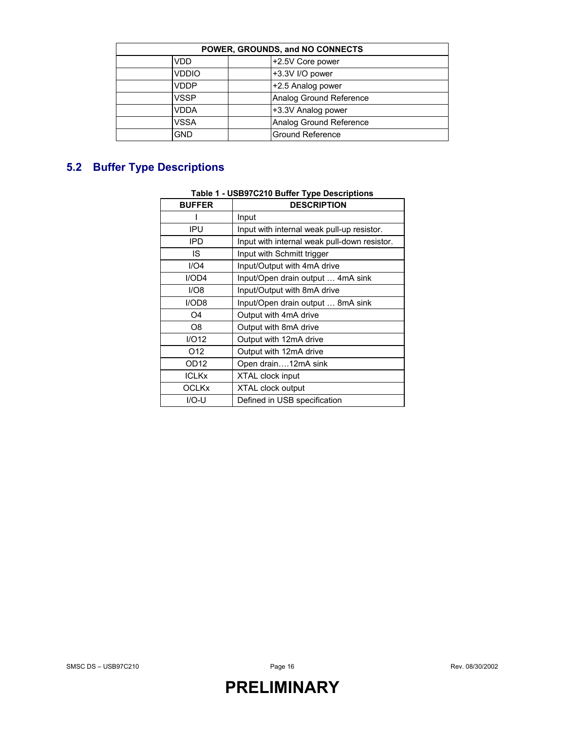| POWER, GROUNDS, and NO CONNECTS |                         |  |  |  |  |  |
|---------------------------------|-------------------------|--|--|--|--|--|
| +2.5V Core power<br>VDD         |                         |  |  |  |  |  |
| +3.3V I/O power<br><b>VDDIO</b> |                         |  |  |  |  |  |
| <b>VDDP</b>                     | +2.5 Analog power       |  |  |  |  |  |
| <b>VSSP</b>                     | Analog Ground Reference |  |  |  |  |  |
| <b>VDDA</b>                     | +3.3V Analog power      |  |  |  |  |  |
| <b>VSSA</b>                     | Analog Ground Reference |  |  |  |  |  |
| <b>GND</b>                      | <b>Ground Reference</b> |  |  |  |  |  |

### **5.2 Buffer Type Descriptions**

### **Table 1 - USB97C210 Buffer Type Descriptions**

| <b>BUFFER</b>    | <b>DESCRIPTION</b>                           |  |  |  |  |  |
|------------------|----------------------------------------------|--|--|--|--|--|
|                  | Input                                        |  |  |  |  |  |
| ipu              | Input with internal weak pull-up resistor.   |  |  |  |  |  |
| IPD              | Input with internal weak pull-down resistor. |  |  |  |  |  |
| IS.              | Input with Schmitt trigger                   |  |  |  |  |  |
| I/O4             | Input/Output with 4mA drive                  |  |  |  |  |  |
| I/OD4            | Input/Open drain output  4mA sink            |  |  |  |  |  |
| I/O8             | Input/Output with 8mA drive                  |  |  |  |  |  |
| I/OD8            | Input/Open drain output  8mA sink            |  |  |  |  |  |
| O4               | Output with 4mA drive                        |  |  |  |  |  |
| O8               | Output with 8mA drive                        |  |  |  |  |  |
| I/O12            | Output with 12mA drive                       |  |  |  |  |  |
| O <sub>12</sub>  | Output with 12mA drive                       |  |  |  |  |  |
| OD <sub>12</sub> | Open drain12mA sink                          |  |  |  |  |  |
| <b>ICLKx</b>     | XTAL clock input                             |  |  |  |  |  |
| <b>OCLKx</b>     | XTAL clock output                            |  |  |  |  |  |
| $IO-U$           | Defined in USB specification                 |  |  |  |  |  |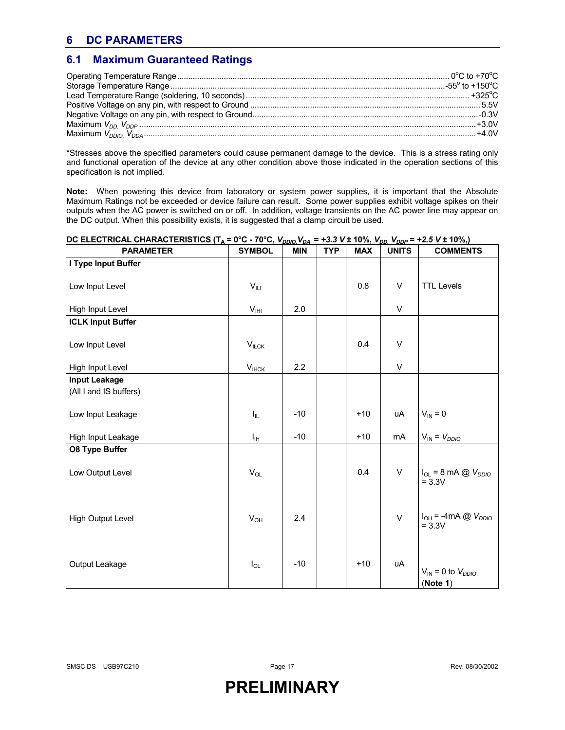### **6 DC PARAMETERS**

### **6.1 Maximum Guaranteed Ratings**

\*Stresses above the specified parameters could cause permanent damage to the device. This is a stress rating only and functional operation of the device at any other condition above those indicated in the operation sections of this specification is not implied.

**Note:** When powering this device from laboratory or system power supplies, it is important that the Absolute Maximum Ratings not be exceeded or device failure can result. Some power supplies exhibit voltage spikes on their outputs when the AC power is switched on or off. In addition, voltage transients on the AC power line may appear on the DC output. When this possibility exists, it is suggested that a clamp circuit be used.

| <b>PARAMETER</b>         | <b>SYMBOL</b>                 | <b>MIN</b> | <b>TYP</b> | <b>MAX</b> | <b>UNITS</b> | <b>COMMENTS</b>                          |
|--------------------------|-------------------------------|------------|------------|------------|--------------|------------------------------------------|
| I Type Input Buffer      |                               |            |            |            |              |                                          |
| Low Input Level          | $V_{\parallel\perp\parallel}$ |            |            | 0.8        | V            | <b>TTL Levels</b>                        |
| High Input Level         | $V_{\text{IHI}}$              | 2.0        |            |            | $\mathsf{V}$ |                                          |
| <b>ICLK Input Buffer</b> |                               |            |            |            |              |                                          |
| Low Input Level          | $V_{ILCK}$                    |            |            | 0.4        | V            |                                          |
| High Input Level         | $V_{IHCK}$                    | 2.2        |            |            | $\mathsf{V}$ |                                          |
| <b>Input Leakage</b>     |                               |            |            |            |              |                                          |
| (All I and IS buffers)   |                               |            |            |            |              |                                          |
| Low Input Leakage        | $I_{\rm IL}$                  | $-10$      |            | $+10$      | uA           | $V_{IN} = 0$                             |
| High Input Leakage       | Iн                            | $-10$      |            | $+10$      | mA           | $V_{IN} = V_{DDIO}$                      |
| <b>08 Type Buffer</b>    |                               |            |            |            |              |                                          |
| Low Output Level         | $V_{OL}$                      |            |            | 0.4        | V            | $I_{OL}$ = 8 mA @ $V_{DDIO}$<br>$= 3.3V$ |
| <b>High Output Level</b> | $V_{OH}$                      | 2.4        |            |            | $\vee$       | $I_{OH}$ = -4mA @ $V_{DDIO}$<br>$= 3.3V$ |
| Output Leakage           | $I_{OL}$                      | $-10$      |            | $+10$      | uA           | $V_{IN} = 0$ to $V_{DDIO}$<br>(Note 1)   |

#### **DC ELECTRICAL CHARACTERISTICS (T<sub>A</sub> = 0°C - 70°C,**  $V_{DDIO}$ **,**  $V_{DA}$  **= +3.3 V ± 10%,**  $V_{DD}$ **,**  $V_{DDP}$  **= +2.5 V ± 10%,)**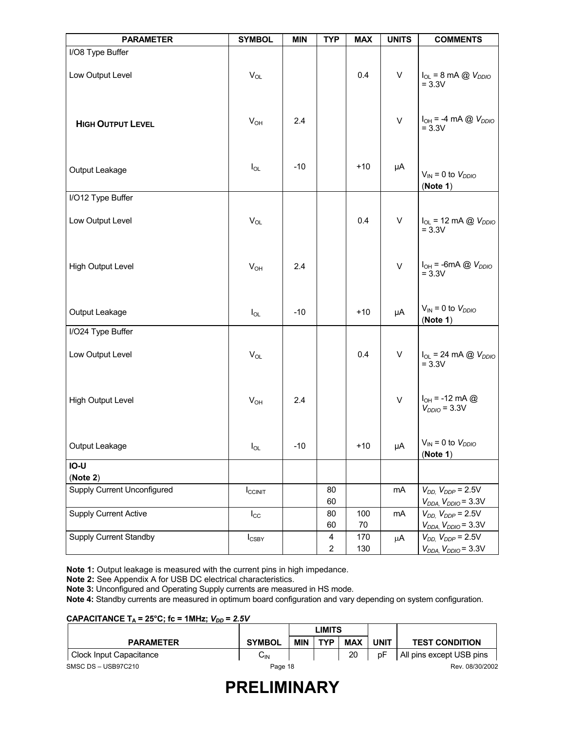| <b>PARAMETER</b>                   | <b>SYMBOL</b>       | <b>MIN</b> | <b>TYP</b>          | <b>MAX</b>    | <b>UNITS</b> | <b>COMMENTS</b>                                                |
|------------------------------------|---------------------|------------|---------------------|---------------|--------------|----------------------------------------------------------------|
| I/O8 Type Buffer                   |                     |            |                     |               |              |                                                                |
| Low Output Level                   | $V_{OL}$            |            |                     | 0.4           | $\sf V$      | $I_{OL}$ = 8 mA $\textcircled{a}$ $V_{DDIO}$<br>$= 3.3V$       |
| <b>HIGH OUTPUT LEVEL</b>           | $V_{OH}$            | 2.4        |                     |               | $\vee$       | $I_{OH}$ = -4 mA @ $V_{DDIO}$<br>$= 3.3V$                      |
| Output Leakage                     | $I_{OL}$            | $-10$      |                     | $+10$         | μA           | $V_{IN} = 0$ to $V_{DDIO}$<br>(Note 1)                         |
| I/O12 Type Buffer                  |                     |            |                     |               |              |                                                                |
| Low Output Level                   | $V_{OL}$            |            |                     | 0.4           | $\sf V$      | $I_{OL}$ = 12 mA @ $V_{DDIO}$<br>$= 3.3V$                      |
| <b>High Output Level</b>           | $V_{OH}$            | 2.4        |                     |               | $\vee$       | $I_{OH}$ = -6mA $\textcircled{a}$ $V_{DDIO}$<br>$= 3.3V$       |
| Output Leakage                     | $I_{OL}$            | $-10$      |                     | $+10$         | μA           | $V_{IN} = 0$ to $V_{DDIO}$<br>(Note 1)                         |
| I/O24 Type Buffer                  |                     |            |                     |               |              |                                                                |
| Low Output Level                   | $V_{OL}$            |            |                     | 0.4           | V            | $I_{OL}$ = 24 mA @ $V_{DDIO}$<br>$= 3.3V$                      |
| <b>High Output Level</b>           | $V_{OH}$            | 2.4        |                     |               | $\vee$       | $I_{OH} = -12 \text{ mA} \textcircled{2}$<br>$V_{DDIO}$ = 3.3V |
| Output Leakage                     | $I_{OL}$            | $-10$      |                     | $+10$         | μA           | $V_{IN}$ = 0 to $V_{DDIO}$<br>(Note 1)                         |
| IO-U                               |                     |            |                     |               |              |                                                                |
| (Note 2)                           |                     |            |                     |               |              |                                                                |
| <b>Supply Current Unconfigured</b> | $I_{\text{CCINIT}}$ |            | 80<br>60            |               | mA           | $V_{DD}$ , $V_{DDP}$ = 2.5V<br>$V_{DDA}$ , $V_{DDIO}$ = 3.3V   |
| Supply Current Active              | $I_{\rm CC}$        |            | 80<br>60            | 100<br>$70\,$ | mA           | $V_{DD}$ , $V_{DDP}$ = 2.5V<br>$V_{DDA}$ , $V_{DDIO}$ = 3.3V   |
| <b>Supply Current Standby</b>      | $I_{CSBY}$          |            | 4<br>$\overline{2}$ | 170<br>130    | μA           | $V_{DD}$ , $V_{DDP}$ = 2.5V<br>$V_{DDA}$ , $V_{DDIO}$ = 3.3V   |

**Note 1:** Output leakage is measured with the current pins in high impedance.

**Note 2:** See Appendix A for USB DC electrical characteristics.

**Note 3:** Unconfigured and Operating Supply currents are measured in HS mode.

**Note 4:** Standby currents are measured in optimum board configuration and vary depending on system configuration.

#### **CAPACITANCE T<sub>A</sub> = 25°C; fc = 1MHz;**  $V_{DD}$  **= 2.5V**

| CAPACITANCE $I_A = 23$ C, IC = TIVITIZ, $V_{DD} = 2.3V$ |                 |            |            |            |      |                          |  |
|---------------------------------------------------------|-----------------|------------|------------|------------|------|--------------------------|--|
|                                                         |                 | LIMITS     |            |            |      |                          |  |
| <b>PARAMETER</b>                                        | <b>SYMBOL</b>   | <b>MIN</b> | <b>TYP</b> | <b>MAX</b> | UNIT | <b>TEST CONDITION</b>    |  |
| Clock Input Capacitance                                 | $C_{\text{IN}}$ |            |            | 20         | pF   | All pins except USB pins |  |
| SMSC DS - USB97C210                                     | Page 18         |            |            |            |      | Rev. 08/30/2002          |  |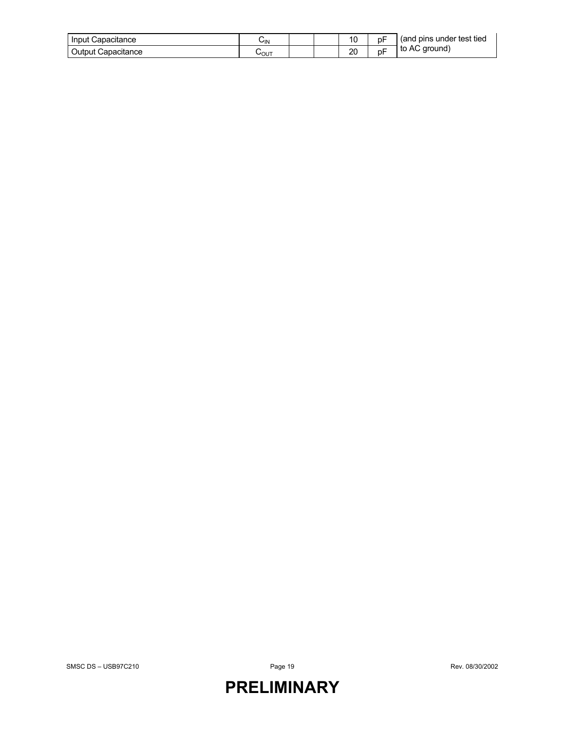| Input<br>: Capacitance | ∪ιΝ  |  | 10 | рF | (and pins under test tied |
|------------------------|------|--|----|----|---------------------------|
| Output<br>Capacitance  | ∪໐∪⊤ |  | 20 | рŀ | to AC ground)             |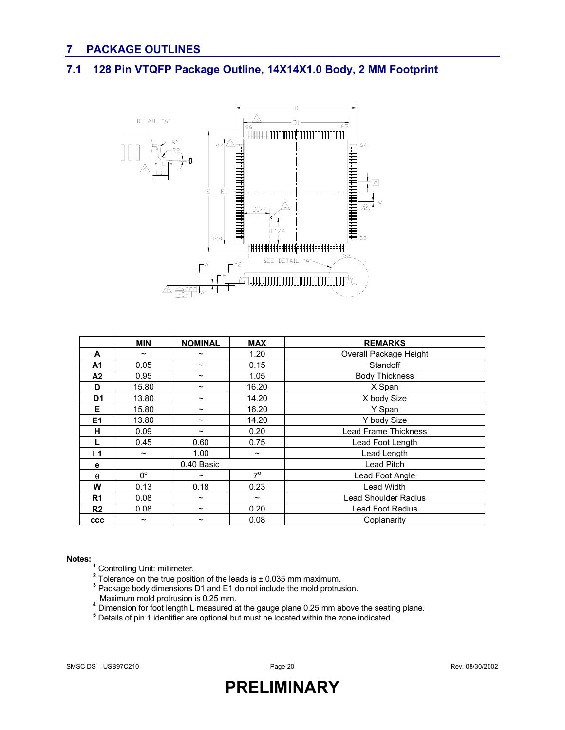### **7 PACKAGE OUTLINES**

### **7.1 128 Pin VTQFP Package Outline, 14X14X1.0 Body, 2 MM Footprint**



|                | <b>MIN</b>            | <b>NOMINAL</b>        | <b>MAX</b>            | <b>REMARKS</b>              |  |
|----------------|-----------------------|-----------------------|-----------------------|-----------------------------|--|
| A              | $\tilde{\phantom{a}}$ | $\tilde{\phantom{a}}$ | 1.20                  | Overall Package Height      |  |
| A1             | 0.05                  | $\tilde{\phantom{a}}$ | 0.15                  | Standoff                    |  |
| A <sub>2</sub> | 0.95                  | $\tilde{\phantom{a}}$ | 1.05                  | <b>Body Thickness</b>       |  |
| D              | 15.80                 | $\tilde{\phantom{a}}$ | 16.20                 | X Span                      |  |
| D <sub>1</sub> | 13.80                 | $\tilde{\phantom{a}}$ | 14.20                 | X body Size                 |  |
| Е              | 15.80                 | $\tilde{\phantom{a}}$ | 16.20                 | Y Span                      |  |
| E <sub>1</sub> | 13.80                 | $\tilde{\phantom{a}}$ | 14.20                 | Y body Size                 |  |
| н              | 0.09                  | $\tilde{\phantom{a}}$ | 0.20                  | <b>Lead Frame Thickness</b> |  |
|                | 0.45                  | 0.60                  | 0.75                  | Lead Foot Length            |  |
| L1             | $\tilde{\phantom{a}}$ | 1.00                  | $\tilde{\phantom{a}}$ | Lead Length                 |  |
| е              |                       | 0.40 Basic            |                       | Lead Pitch                  |  |
| $\theta$       | $0^{\circ}$           | $\tilde{\phantom{a}}$ | $7^\circ$             | Lead Foot Angle             |  |
| W              | 0.13                  | 0.18                  | 0.23                  | <b>Lead Width</b>           |  |
| R <sub>1</sub> | 0.08                  | $\tilde{\phantom{a}}$ | $\tilde{\phantom{a}}$ | Lead Shoulder Radius        |  |
| R <sub>2</sub> | 0.08                  | $\tilde{\phantom{a}}$ | 0.20                  | Lead Foot Radius            |  |
| $_{\rm ccc}$   | $\tilde{\phantom{a}}$ | $\tilde{\phantom{a}}$ | 0.08                  | Coplanarity                 |  |

- 
- **Notes:**<br>
<sup>1</sup> Controlling Unit: millimeter.<br>
<sup>2</sup> Tolerance on the true position of the leads is ± 0.035 mm maximum.<br>
<sup>3</sup> Booksge body dimensions D1 and E1 de not include the mald protative
	- Package body dimensions D1 and E1 do not include the mold protrusion.
- Maximum mold protrusion is 0.25 mm. **<sup>4</sup>**
	-
	- <sup>4</sup> Dimension for foot length L measured at the gauge plane 0.25 mm above the seating plane.<br><sup>5</sup> Details of pin 1 identifier are optional but must be located within the zone indicated.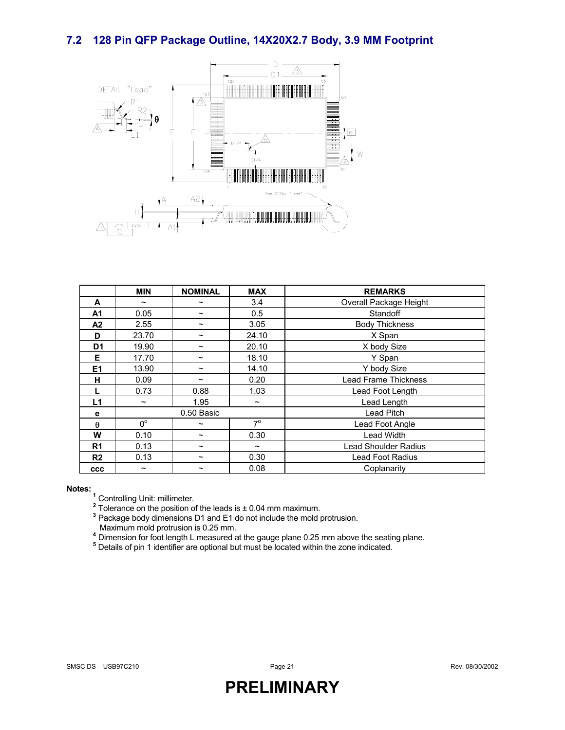### **7.2 128 Pin QFP Package Outline, 14X20X2.7 Body, 3.9 MM Footprint**



|                | <b>MIN</b>            | <b>NOMINAL</b>        | <b>MAX</b>            | <b>REMARKS</b>         |  |
|----------------|-----------------------|-----------------------|-----------------------|------------------------|--|
| A              | $\tilde{}$            | $\tilde{\phantom{a}}$ | 3.4                   | Overall Package Height |  |
| A <sub>1</sub> | 0.05                  | $\tilde{\phantom{a}}$ | 0.5                   | Standoff               |  |
| A <sub>2</sub> | 2.55                  | $\tilde{\phantom{a}}$ | 3.05                  | <b>Body Thickness</b>  |  |
| D              | 23.70                 | $\tilde{\phantom{a}}$ | 24.10                 | X Span                 |  |
| D <sub>1</sub> | 19.90                 | $\tilde{\phantom{a}}$ | 20.10                 | X body Size            |  |
| Е              | 17.70                 | $\tilde{\phantom{a}}$ | 18.10                 | Y Span                 |  |
| E <sub>1</sub> | 13.90                 | $\tilde{\phantom{a}}$ | 14.10                 | Y body Size            |  |
| н              | 0.09                  | $\tilde{\phantom{a}}$ | 0.20                  | Lead Frame Thickness   |  |
|                | 0.73                  | 0.88                  | 1.03                  | Lead Foot Length       |  |
| L1             | $\tilde{\phantom{a}}$ | 1.95                  | $\tilde{\phantom{a}}$ | Lead Length            |  |
| е              |                       | 0.50 Basic            |                       | Lead Pitch             |  |
| $\theta$       | $0^{\circ}$           | $\tilde{\phantom{a}}$ | $7^{\circ}$           | Lead Foot Angle        |  |
| W              | 0.10                  | $\tilde{\phantom{a}}$ | 0.30                  | Lead Width             |  |
| R <sub>1</sub> | 0.13                  | $\tilde{\phantom{a}}$ | $\tilde{\phantom{a}}$ | Lead Shoulder Radius   |  |
| R <sub>2</sub> | 0.13                  | $\tilde{\phantom{a}}$ | 0.30                  | Lead Foot Radius       |  |
| <b>CCC</b>     | $\tilde{\phantom{a}}$ | $\tilde{\phantom{a}}$ | 0.08                  | Coplanarity            |  |

**Notes:**<br><sup>1</sup> Controlling Unit: millimeter.<br><sup>2</sup> Telerance on the position of

<sup>4</sup> Tolerance on the position of the leads is ± 0.04 mm maximum.<br><sup>3</sup> Package body dimensions D1 and E1 do not include the mold protrusion. Maximum mold protrusion is 0.25 mm.<br>
<sup>4</sup> Dimension for foot length L measured at the gauge plane 0.25 mm above the seating plane.

<sup>5</sup> Details of pin 1 identifier are optional but must be located within the zone indicated.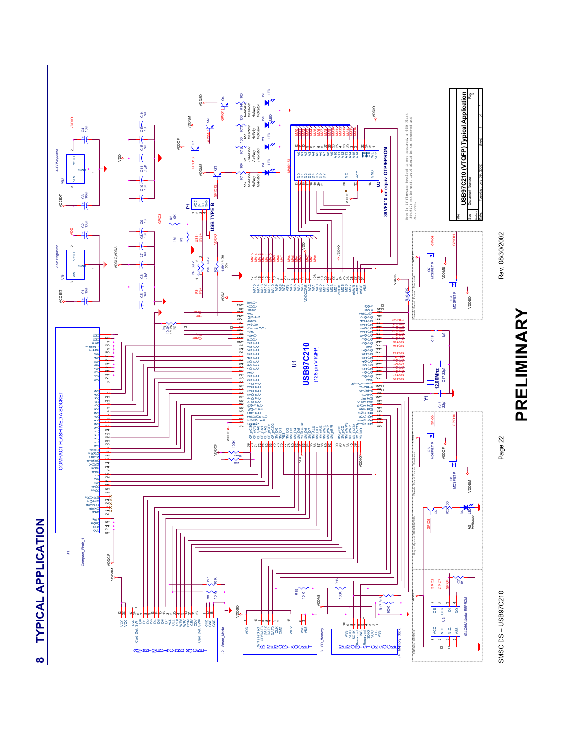

Rev. 08/30/2002

SMSC DS – USB97C210 Page 22<br>SMSC DS – USB9702002 SMSC DS-USB97C210

Page 22



**8 TYPICAL APPLICATION TYPICAL APPLICATION**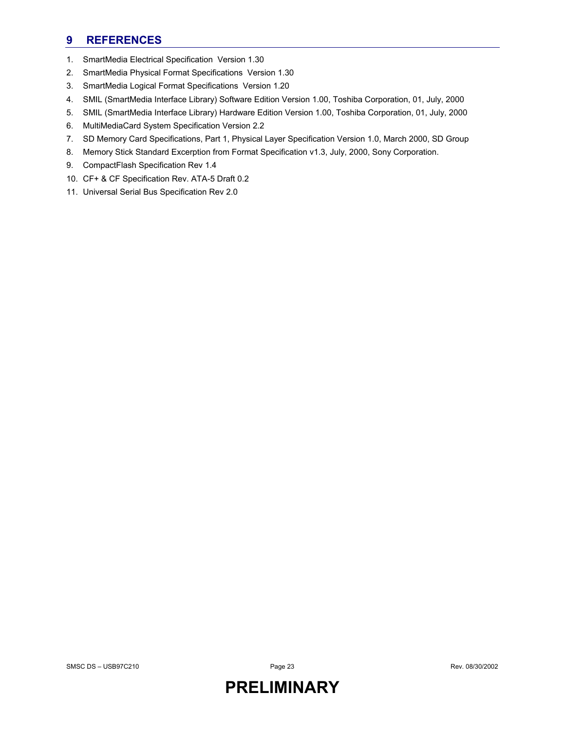### **9 REFERENCES**

- 1. SmartMedia Electrical Specification Version 1.30
- 2. SmartMedia Physical Format Specifications Version 1.30
- 3. SmartMedia Logical Format Specifications Version 1.20
- 4. SMIL (SmartMedia Interface Library) Software Edition Version 1.00, Toshiba Corporation, 01, July, 2000
- 5. SMIL (SmartMedia Interface Library) Hardware Edition Version 1.00, Toshiba Corporation, 01, July, 2000
- 6. MultiMediaCard System Specification Version 2.2
- 7. SD Memory Card Specifications, Part 1, Physical Layer Specification Version 1.0, March 2000, SD Group
- 8. Memory Stick Standard Excerption from Format Specification v1.3, July, 2000, Sony Corporation.
- 9. CompactFlash Specification Rev 1.4
- 10. CF+ & CF Specification Rev. ATA-5 Draft 0.2
- 11. Universal Serial Bus Specification Rev 2.0